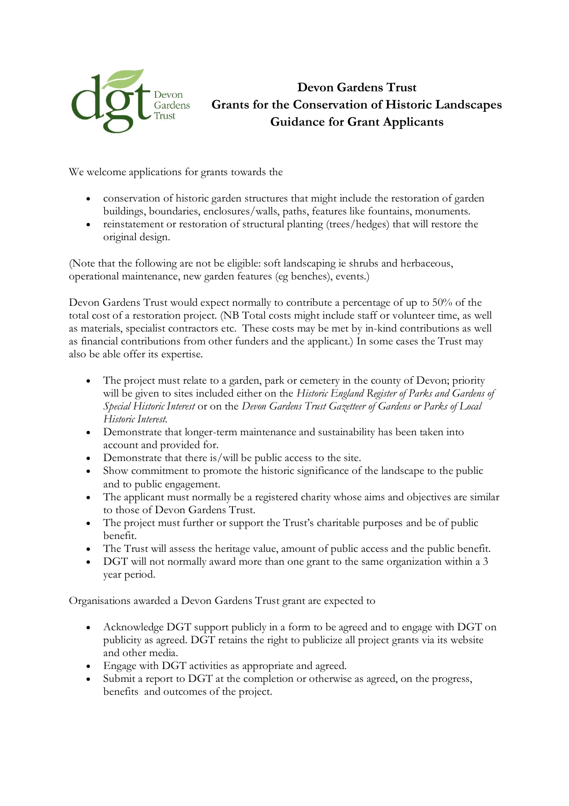

## **Devon Gardens Trust Grants for the Conservation of Historic Landscapes Guidance for Grant Applicants**

We welcome applications for grants towards the

- conservation of historic garden structures that might include the restoration of garden buildings, boundaries, enclosures/walls, paths, features like fountains, monuments.
- reinstatement or restoration of structural planting (trees/hedges) that will restore the original design.

(Note that the following are not be eligible: soft landscaping ie shrubs and herbaceous, operational maintenance, new garden features (eg benches), events.)

Devon Gardens Trust would expect normally to contribute a percentage of up to 50% of the total cost of a restoration project. (NB Total costs might include staff or volunteer time, as well as materials, specialist contractors etc. These costs may be met by in-kind contributions as well as financial contributions from other funders and the applicant.) In some cases the Trust may also be able offer its expertise.

- The project must relate to a garden, park or cemetery in the county of Devon; priority will be given to sites included either on the *Historic England Register of Parks and Gardens of Special Historic Interest* or on the *Devon Gardens Trust Gazetteer of Gardens or Parks of Local Historic Interest*.
- Demonstrate that longer-term maintenance and sustainability has been taken into account and provided for.
- Demonstrate that there is/will be public access to the site.
- Show commitment to promote the historic significance of the landscape to the public and to public engagement.
- The applicant must normally be a registered charity whose aims and objectives are similar to those of Devon Gardens Trust.
- The project must further or support the Trust's charitable purposes and be of public benefit.
- The Trust will assess the heritage value, amount of public access and the public benefit.
- DGT will not normally award more than one grant to the same organization within a 3 year period.

Organisations awarded a Devon Gardens Trust grant are expected to

- Acknowledge DGT support publicly in a form to be agreed and to engage with DGT on publicity as agreed. DGT retains the right to publicize all project grants via its website and other media.
- Engage with DGT activities as appropriate and agreed.
- Submit a report to DGT at the completion or otherwise as agreed, on the progress, benefits and outcomes of the project.